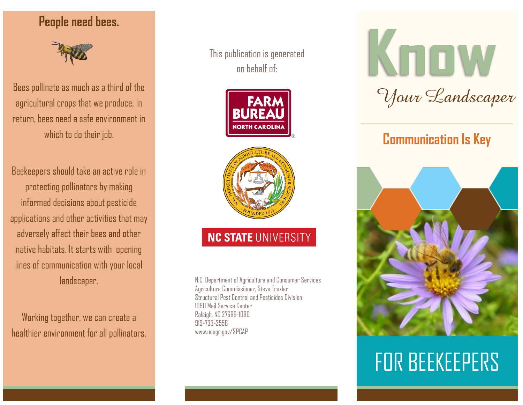### **People need bees.**



Bees pollinate as much as a third of the agricultural crops that we produce. In return, bees need a safe environment in which to do their job.

Beekeepers should take an active role in protecting pollinators by making informed decisions about pesticide applications and other activities that may adversely affect their bees and other native habitats. It starts with opening lines of communication with your local landscaper.

Working together, we can create a healthier environment for all pollinators. This publication is generated on behalf of:





# **NC STATE UNIVERSITY**

N.C. Department of Agriculture and Consumer Services Agriculture Commissioner, Steve Troxler Structural Pest Control and Pesticides Division 1090 Mail Service Center Raleigh, NC 27699-1090 919-733-3556 www.ncagr.gov/SPCAP

# KOOW *Your Landscaper*

# **Communication Is Key**



# FOR BEEKEEPERS